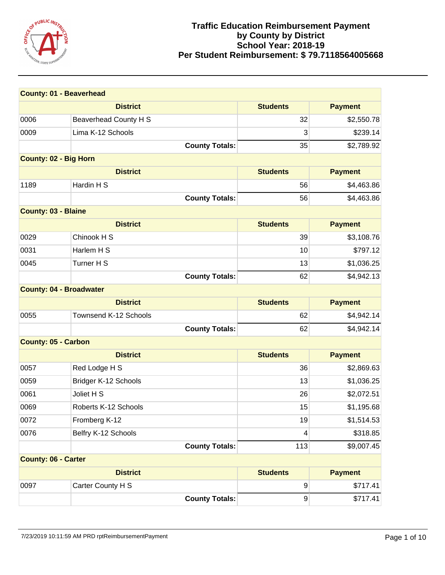

|                                | <b>County: 01 - Beaverhead</b> |                  |                |
|--------------------------------|--------------------------------|------------------|----------------|
|                                | <b>District</b>                | <b>Students</b>  | <b>Payment</b> |
| 0006                           | Beaverhead County H S          | 32               | \$2,550.78     |
| 0009                           | Lima K-12 Schools              | 3                | \$239.14       |
|                                | <b>County Totals:</b>          | 35               | \$2,789.92     |
| <b>County: 02 - Big Horn</b>   |                                |                  |                |
|                                | <b>District</b>                | <b>Students</b>  | <b>Payment</b> |
| 1189                           | Hardin H S                     | 56               | \$4,463.86     |
|                                | <b>County Totals:</b>          | 56               | \$4,463.86     |
| <b>County: 03 - Blaine</b>     |                                |                  |                |
|                                | <b>District</b>                | <b>Students</b>  | <b>Payment</b> |
| 0029                           | Chinook H S                    | 39               | \$3,108.76     |
| 0031                           | Harlem H S                     | 10               | \$797.12       |
| 0045                           | Turner H S                     | 13               | \$1,036.25     |
|                                | <b>County Totals:</b>          | 62               | \$4,942.13     |
| <b>County: 04 - Broadwater</b> |                                |                  |                |
|                                | <b>District</b>                | <b>Students</b>  | <b>Payment</b> |
| 0055                           | Townsend K-12 Schools          | 62               | \$4,942.14     |
|                                |                                |                  |                |
|                                | <b>County Totals:</b>          | 62               | \$4,942.14     |
| <b>County: 05 - Carbon</b>     |                                |                  |                |
|                                | <b>District</b>                | <b>Students</b>  | <b>Payment</b> |
| 0057                           | Red Lodge H S                  | 36               | \$2,869.63     |
| 0059                           | Bridger K-12 Schools           | 13               | \$1,036.25     |
| 0061                           | Joliet H S                     | 26               | \$2,072.51     |
| 0069                           | Roberts K-12 Schools           | 15               | \$1,195.68     |
| 0072                           | Fromberg K-12                  | 19               | \$1,514.53     |
| 0076                           | Belfry K-12 Schools            | 4                | \$318.85       |
|                                | <b>County Totals:</b>          | 113              | \$9,007.45     |
| <b>County: 06 - Carter</b>     |                                |                  |                |
|                                | <b>District</b>                | <b>Students</b>  | <b>Payment</b> |
| 0097                           | Carter County H S              | $\boldsymbol{9}$ | \$717.41       |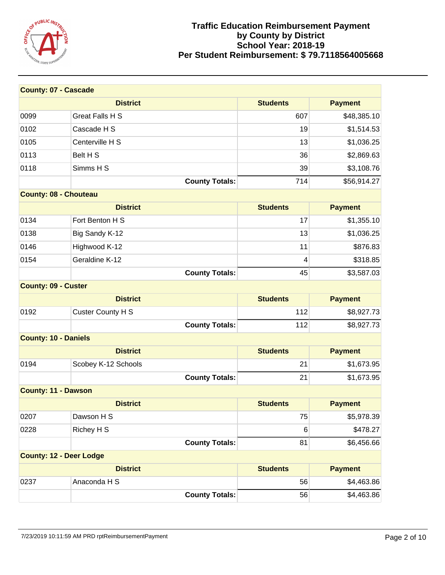

| <b>County: 07 - Cascade</b>    |                        |                 |                |
|--------------------------------|------------------------|-----------------|----------------|
|                                | <b>District</b>        | <b>Students</b> | <b>Payment</b> |
| 0099                           | <b>Great Falls H S</b> | 607             | \$48,385.10    |
| 0102                           | Cascade H S            | 19              | \$1,514.53     |
| 0105                           | Centerville H S        | 13              | \$1,036.25     |
| 0113                           | Belt H S               | 36              | \$2,869.63     |
| 0118                           | Simms H S              | 39              | \$3,108.76     |
|                                | <b>County Totals:</b>  | 714             | \$56,914.27    |
| <b>County: 08 - Chouteau</b>   |                        |                 |                |
|                                | <b>District</b>        | <b>Students</b> | <b>Payment</b> |
| 0134                           | Fort Benton H S        | 17              | \$1,355.10     |
| 0138                           | Big Sandy K-12         | 13              | \$1,036.25     |
| 0146                           | Highwood K-12          | 11              | \$876.83       |
| 0154                           | Geraldine K-12         | 4               | \$318.85       |
|                                | <b>County Totals:</b>  | 45              | \$3,587.03     |
| <b>County: 09 - Custer</b>     |                        |                 |                |
|                                | <b>District</b>        | <b>Students</b> | <b>Payment</b> |
| 0192                           | Custer County H S      | 112             | \$8,927.73     |
|                                | <b>County Totals:</b>  | 112             | \$8,927.73     |
| <b>County: 10 - Daniels</b>    |                        |                 |                |
|                                | <b>District</b>        | <b>Students</b> | <b>Payment</b> |
| 0194                           | Scobey K-12 Schools    | 21              | \$1,673.95     |
|                                | <b>County Totals:</b>  | 21              | \$1,673.95     |
| <b>County: 11 - Dawson</b>     |                        |                 |                |
|                                | <b>District</b>        | <b>Students</b> | <b>Payment</b> |
| 0207                           | Dawson H S             | 75              | \$5,978.39     |
| 0228                           | Richey H S             | 6               | \$478.27       |
|                                | <b>County Totals:</b>  | 81              | \$6,456.66     |
| <b>County: 12 - Deer Lodge</b> |                        |                 |                |
|                                | <b>District</b>        | <b>Students</b> | <b>Payment</b> |
| 0237                           | Anaconda H S           | 56              | \$4,463.86     |
|                                | <b>County Totals:</b>  | 56              | \$4,463.86     |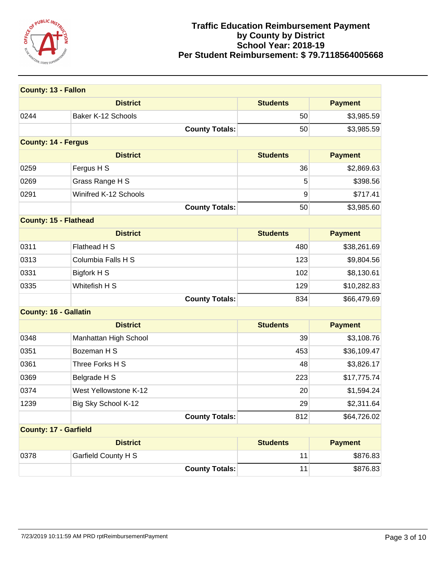

| <b>County: 13 - Fallon</b>   |                       |                 |                |
|------------------------------|-----------------------|-----------------|----------------|
|                              | <b>District</b>       | <b>Students</b> | <b>Payment</b> |
| 0244                         | Baker K-12 Schools    | 50              | \$3,985.59     |
|                              | <b>County Totals:</b> | 50              | \$3,985.59     |
| <b>County: 14 - Fergus</b>   |                       |                 |                |
|                              | <b>District</b>       | <b>Students</b> | <b>Payment</b> |
| 0259                         | Fergus H S            | 36              | \$2,869.63     |
| 0269                         | Grass Range H S       | 5               | \$398.56       |
| 0291                         | Winifred K-12 Schools | 9               | \$717.41       |
|                              | <b>County Totals:</b> | 50              | \$3,985.60     |
| <b>County: 15 - Flathead</b> |                       |                 |                |
|                              | <b>District</b>       | <b>Students</b> | <b>Payment</b> |
| 0311                         | Flathead H S          | 480             | \$38,261.69    |
| 0313                         | Columbia Falls H S    | 123             | \$9,804.56     |
| 0331                         | Bigfork H S           | 102             | \$8,130.61     |
| 0335                         | Whitefish H S         | 129             | \$10,282.83    |
|                              | <b>County Totals:</b> | 834             | \$66,479.69    |
| <b>County: 16 - Gallatin</b> |                       |                 |                |
|                              | <b>District</b>       | <b>Students</b> | <b>Payment</b> |
| 0348                         | Manhattan High School | 39              | \$3,108.76     |
| 0351                         | Bozeman H S           | 453             | \$36,109.47    |
| 0361                         | Three Forks H S       | 48              | \$3,826.17     |
| 0369                         | Belgrade H S          | 223             | \$17,775.74    |
| 0374                         | West Yellowstone K-12 | 20              | \$1,594.24     |
| 1239                         | Big Sky School K-12   | 29              | \$2,311.64     |
|                              | <b>County Totals:</b> | 812             | \$64,726.02    |
| <b>County: 17 - Garfield</b> |                       |                 |                |
|                              | <b>District</b>       | <b>Students</b> | <b>Payment</b> |
| 0378                         | Garfield County H S   | 11              | \$876.83       |
|                              | <b>County Totals:</b> | 11              | \$876.83       |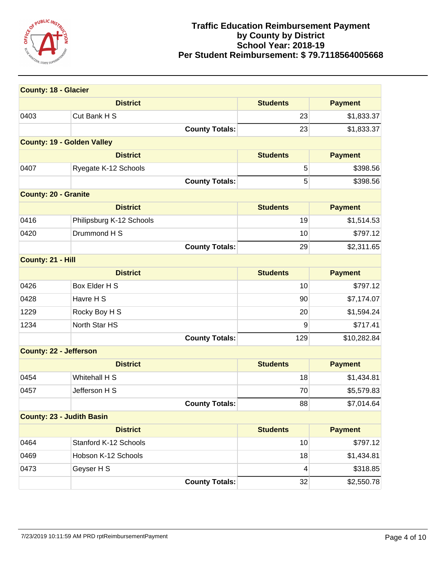

| <b>County: 18 - Glacier</b>       |                          |                 |                |
|-----------------------------------|--------------------------|-----------------|----------------|
|                                   | <b>District</b>          | <b>Students</b> | <b>Payment</b> |
| 0403                              | Cut Bank H S             | 23              | \$1,833.37     |
|                                   | <b>County Totals:</b>    | 23              | \$1,833.37     |
| <b>County: 19 - Golden Valley</b> |                          |                 |                |
|                                   | <b>District</b>          | <b>Students</b> | <b>Payment</b> |
| 0407                              | Ryegate K-12 Schools     | 5               | \$398.56       |
|                                   | <b>County Totals:</b>    | 5               | \$398.56       |
| <b>County: 20 - Granite</b>       |                          |                 |                |
|                                   | <b>District</b>          | <b>Students</b> | <b>Payment</b> |
| 0416                              | Philipsburg K-12 Schools | 19              | \$1,514.53     |
| 0420                              | Drummond H S             | 10              | \$797.12       |
|                                   | <b>County Totals:</b>    | 29              | \$2,311.65     |
| County: 21 - Hill                 |                          |                 |                |
|                                   | <b>District</b>          | <b>Students</b> | <b>Payment</b> |
| 0426                              | Box Elder H S            | 10              | \$797.12       |
| 0428                              | Havre H S                | 90              | \$7,174.07     |
| 1229                              | Rocky Boy H S            | 20              | \$1,594.24     |
| 1234                              | North Star HS            | 9               | \$717.41       |
|                                   | <b>County Totals:</b>    | 129             | \$10,282.84    |
| <b>County: 22 - Jefferson</b>     |                          |                 |                |
|                                   | <b>District</b>          | <b>Students</b> | <b>Payment</b> |
| 0454                              | Whitehall H S            | 18              | \$1,434.81     |
| 0457                              | Jefferson H S            | 70              | \$5,579.83     |
|                                   | <b>County Totals:</b>    | 88              | \$7,014.64     |
| <b>County: 23 - Judith Basin</b>  |                          |                 |                |
|                                   | <b>District</b>          | <b>Students</b> | <b>Payment</b> |
| 0464                              | Stanford K-12 Schools    | 10              | \$797.12       |
| 0469                              | Hobson K-12 Schools      | 18              | \$1,434.81     |
| 0473                              | Geyser H S               | 4               | \$318.85       |
|                                   | <b>County Totals:</b>    | 32              | \$2,550.78     |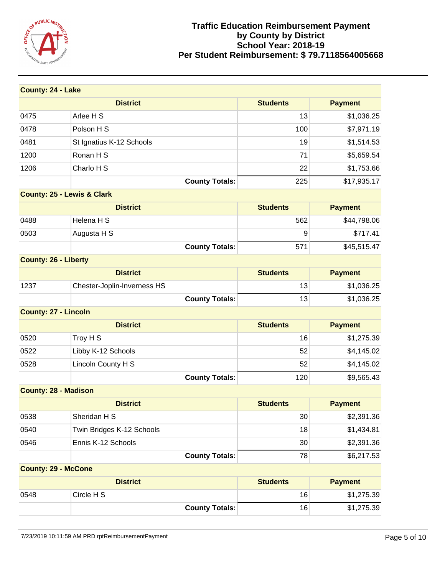

| <b>County: 24 - Lake</b>              |                             |                 |                |
|---------------------------------------|-----------------------------|-----------------|----------------|
|                                       | <b>District</b>             | <b>Students</b> | <b>Payment</b> |
| 0475                                  | Arlee H S                   | 13              | \$1,036.25     |
| 0478                                  | Polson H S                  | 100             | \$7,971.19     |
| 0481                                  | St Ignatius K-12 Schools    | 19              | \$1,514.53     |
| 1200                                  | Ronan H S                   | 71              | \$5,659.54     |
| 1206                                  | Charlo H S                  | 22              | \$1,753.66     |
|                                       | <b>County Totals:</b>       | 225             | \$17,935.17    |
| <b>County: 25 - Lewis &amp; Clark</b> |                             |                 |                |
|                                       | <b>District</b>             | <b>Students</b> | <b>Payment</b> |
| 0488                                  | Helena H S                  | 562             | \$44,798.06    |
| 0503                                  | Augusta H S                 | 9               | \$717.41       |
|                                       | <b>County Totals:</b>       | 571             | \$45,515.47    |
| <b>County: 26 - Liberty</b>           |                             |                 |                |
|                                       | <b>District</b>             | <b>Students</b> | <b>Payment</b> |
| 1237                                  | Chester-Joplin-Inverness HS | 13              | \$1,036.25     |
|                                       | <b>County Totals:</b>       | 13              | \$1,036.25     |
| <b>County: 27 - Lincoln</b>           |                             |                 |                |
|                                       | <b>District</b>             | <b>Students</b> | <b>Payment</b> |
| 0520                                  | Troy H S                    | 16              | \$1,275.39     |
| 0522                                  | Libby K-12 Schools          | 52              | \$4,145.02     |
| 0528                                  | Lincoln County H S          | 52              | \$4,145.02     |
|                                       | <b>County Totals:</b>       | 120             | \$9,565.43     |
| <b>County: 28 - Madison</b>           |                             |                 |                |
|                                       | <b>District</b>             | <b>Students</b> | <b>Payment</b> |
| 0538                                  | Sheridan H S                | 30              | \$2,391.36     |
| 0540                                  | Twin Bridges K-12 Schools   | 18              | \$1,434.81     |
| 0546                                  | Ennis K-12 Schools          | 30              | \$2,391.36     |
|                                       | <b>County Totals:</b>       | 78              | \$6,217.53     |
| <b>County: 29 - McCone</b>            |                             |                 |                |
|                                       | <b>District</b>             | <b>Students</b> | <b>Payment</b> |
| 0548                                  | Circle H S                  | 16              | \$1,275.39     |
|                                       | <b>County Totals:</b>       | 16              | \$1,275.39     |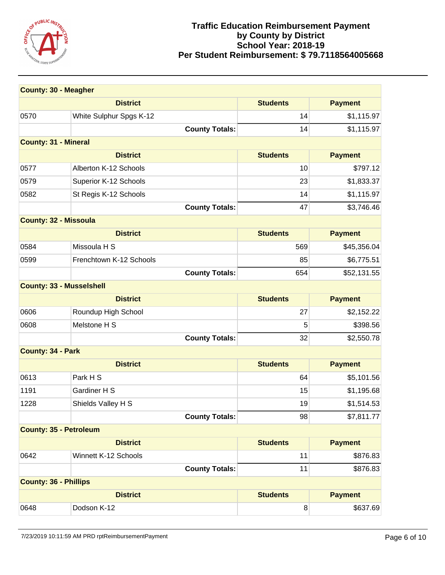

| <b>County: 30 - Meagher</b>     |                         |                 |                |
|---------------------------------|-------------------------|-----------------|----------------|
|                                 | <b>District</b>         | <b>Students</b> | <b>Payment</b> |
| 0570                            | White Sulphur Spgs K-12 | 14              | \$1,115.97     |
|                                 | <b>County Totals:</b>   | 14              | \$1,115.97     |
| <b>County: 31 - Mineral</b>     |                         |                 |                |
|                                 | <b>District</b>         | <b>Students</b> | <b>Payment</b> |
| 0577                            | Alberton K-12 Schools   | 10              | \$797.12       |
| 0579                            | Superior K-12 Schools   | 23              | \$1,833.37     |
| 0582                            | St Regis K-12 Schools   | 14              | \$1,115.97     |
|                                 | <b>County Totals:</b>   | 47              | \$3,746.46     |
| <b>County: 32 - Missoula</b>    |                         |                 |                |
|                                 | <b>District</b>         | <b>Students</b> | <b>Payment</b> |
| 0584                            | Missoula H S            | 569             | \$45,356.04    |
| 0599                            | Frenchtown K-12 Schools | 85              | \$6,775.51     |
|                                 | <b>County Totals:</b>   | 654             | \$52,131.55    |
| <b>County: 33 - Musselshell</b> |                         |                 |                |
|                                 | <b>District</b>         | <b>Students</b> | <b>Payment</b> |
| 0606                            | Roundup High School     | 27              | \$2,152.22     |
| 0608                            | Melstone H S            | 5               | \$398.56       |
|                                 | <b>County Totals:</b>   | 32              | \$2,550.78     |
| <b>County: 34 - Park</b>        |                         |                 |                |
|                                 | <b>District</b>         | <b>Students</b> | <b>Payment</b> |
| 0613                            | Park H S                | 64              | \$5,101.56     |
| 1191                            | Gardiner H S            | 15              | \$1,195.68     |
| 1228                            | Shields Valley H S      | 19              | \$1,514.53     |
|                                 | <b>County Totals:</b>   | 98              | \$7,811.77     |
| <b>County: 35 - Petroleum</b>   |                         |                 |                |
|                                 | <b>District</b>         | <b>Students</b> | <b>Payment</b> |
| 0642                            | Winnett K-12 Schools    | 11              | \$876.83       |
|                                 | <b>County Totals:</b>   | 11              | \$876.83       |
| <b>County: 36 - Phillips</b>    |                         |                 |                |
|                                 | <b>District</b>         | <b>Students</b> | <b>Payment</b> |
| 0648                            | Dodson K-12             | 8               | \$637.69       |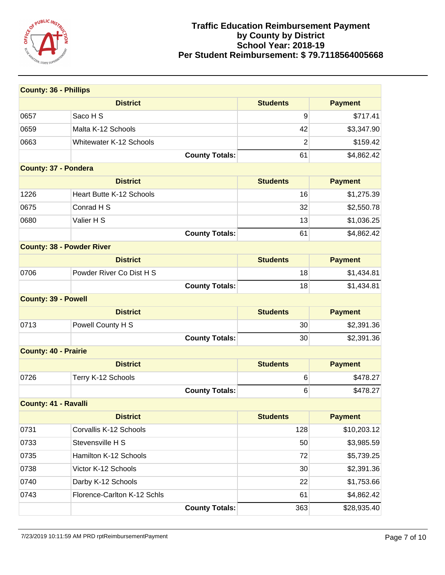

| <b>County: 36 - Phillips</b> |                                  |                 |                |
|------------------------------|----------------------------------|-----------------|----------------|
|                              | <b>District</b>                  | <b>Students</b> | <b>Payment</b> |
| 0657                         | Saco H S                         | 9               | \$717.41       |
| 0659                         | Malta K-12 Schools               | 42              | \$3,347.90     |
| 0663                         | <b>Whitewater K-12 Schools</b>   | $\overline{2}$  | \$159.42       |
|                              | <b>County Totals:</b>            | 61              | \$4,862.42     |
|                              | <b>County: 37 - Pondera</b>      |                 |                |
|                              | <b>District</b>                  | <b>Students</b> | <b>Payment</b> |
| 1226                         | <b>Heart Butte K-12 Schools</b>  | 16              | \$1,275.39     |
| 0675                         | Conrad H S                       | 32              | \$2,550.78     |
| 0680                         | Valier H S                       | 13              | \$1,036.25     |
|                              | <b>County Totals:</b>            | 61              | \$4,862.42     |
|                              | <b>County: 38 - Powder River</b> |                 |                |
|                              | <b>District</b>                  | <b>Students</b> | <b>Payment</b> |
| 0706                         | Powder River Co Dist H S         | 18              | \$1,434.81     |
|                              | <b>County Totals:</b>            | 18              | \$1,434.81     |
| <b>County: 39 - Powell</b>   |                                  |                 |                |
|                              | <b>District</b>                  | <b>Students</b> | <b>Payment</b> |
| 0713                         | Powell County H S                | 30              | \$2,391.36     |
|                              | <b>County Totals:</b>            | 30              | \$2,391.36     |
| <b>County: 40 - Prairie</b>  |                                  |                 |                |
|                              | <b>District</b>                  | <b>Students</b> | <b>Payment</b> |
| 0726                         | Terry K-12 Schools               | 6               | \$478.27       |
|                              | <b>County Totals:</b>            | 6               | \$478.27       |
| <b>County: 41 - Ravalli</b>  |                                  |                 |                |
|                              | <b>District</b>                  | <b>Students</b> | <b>Payment</b> |
| 0731                         | Corvallis K-12 Schools           | 128             | \$10,203.12    |
| 0733                         | Stevensville H S                 | 50              | \$3,985.59     |
| 0735                         | Hamilton K-12 Schools            | 72              | \$5,739.25     |
| 0738                         | Victor K-12 Schools              | 30              | \$2,391.36     |
| 0740                         | Darby K-12 Schools               | 22              | \$1,753.66     |
| 0743                         | Florence-Carlton K-12 Schls      | 61              | \$4,862.42     |
|                              | <b>County Totals:</b>            | 363             | \$28,935.40    |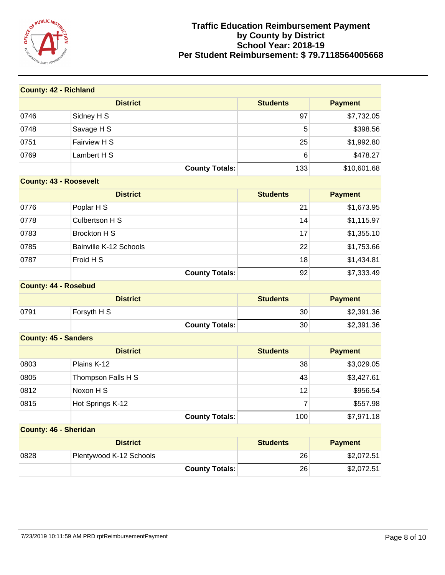

|      | <b>County: 42 - Richland</b>  |                       |                |                |
|------|-------------------------------|-----------------------|----------------|----------------|
|      | <b>District</b>               | <b>Students</b>       |                | <b>Payment</b> |
| 0746 | Sidney H S                    |                       | 97             | \$7,732.05     |
| 0748 | Savage H S                    |                       | 5              | \$398.56       |
| 0751 | Fairview H S                  |                       | 25             | \$1,992.80     |
| 0769 | Lambert H S                   |                       | 6              | \$478.27       |
|      |                               | <b>County Totals:</b> | 133            | \$10,601.68    |
|      | <b>County: 43 - Roosevelt</b> |                       |                |                |
|      | <b>District</b>               | <b>Students</b>       |                | <b>Payment</b> |
| 0776 | Poplar H S                    |                       | 21             | \$1,673.95     |
| 0778 | Culbertson H S                |                       | 14             | \$1,115.97     |
| 0783 | <b>Brockton H S</b>           |                       | 17             | \$1,355.10     |
| 0785 | Bainville K-12 Schools        |                       | 22             | \$1,753.66     |
| 0787 | Froid H S                     |                       | 18             | \$1,434.81     |
|      |                               | <b>County Totals:</b> | 92             | \$7,333.49     |
|      | <b>County: 44 - Rosebud</b>   |                       |                |                |
|      | <b>District</b>               | <b>Students</b>       |                | <b>Payment</b> |
| 0791 | Forsyth H S                   |                       | 30             | \$2,391.36     |
|      |                               | <b>County Totals:</b> | 30             | \$2,391.36     |
|      | <b>County: 45 - Sanders</b>   |                       |                |                |
|      | <b>District</b>               | <b>Students</b>       |                | <b>Payment</b> |
| 0803 | Plains K-12                   |                       | 38             | \$3,029.05     |
| 0805 | Thompson Falls H S            |                       | 43             | \$3,427.61     |
| 0812 | Noxon H S                     |                       | 12             | \$956.54       |
| 0815 | Hot Springs K-12              |                       | $\overline{7}$ | \$557.98       |
|      |                               | <b>County Totals:</b> | 100            | \$7,971.18     |
|      | <b>County: 46 - Sheridan</b>  |                       |                |                |
|      | <b>District</b>               | <b>Students</b>       |                | <b>Payment</b> |
| 0828 | Plentywood K-12 Schools       |                       | 26             | \$2,072.51     |
|      |                               | <b>County Totals:</b> | 26             | \$2,072.51     |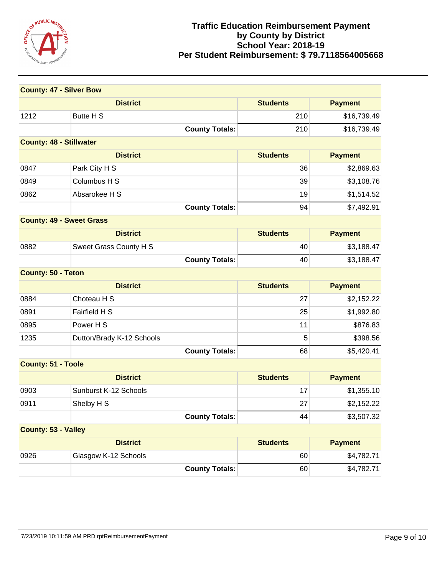

| <b>County: 47 - Silver Bow</b>  |                           |                 |                |
|---------------------------------|---------------------------|-----------------|----------------|
|                                 | <b>District</b>           | <b>Students</b> | <b>Payment</b> |
| 1212                            | Butte H S                 | 210             | \$16,739.49    |
|                                 | <b>County Totals:</b>     | 210             | \$16,739.49    |
| <b>County: 48 - Stillwater</b>  |                           |                 |                |
|                                 | <b>District</b>           | <b>Students</b> | <b>Payment</b> |
| 0847                            | Park City H S             | 36              | \$2,869.63     |
| 0849                            | Columbus H S              | 39              | \$3,108.76     |
| 0862                            | Absarokee H S             | 19              | \$1,514.52     |
|                                 | <b>County Totals:</b>     | 94              | \$7,492.91     |
| <b>County: 49 - Sweet Grass</b> |                           |                 |                |
|                                 | <b>District</b>           | <b>Students</b> | <b>Payment</b> |
| 0882                            | Sweet Grass County H S    | 40              | \$3,188.47     |
|                                 | <b>County Totals:</b>     | 40              | \$3,188.47     |
| <b>County: 50 - Teton</b>       |                           |                 |                |
|                                 | <b>District</b>           |                 |                |
|                                 |                           | <b>Students</b> | <b>Payment</b> |
| 0884                            | Choteau H S               | 27              | \$2,152.22     |
| 0891                            | Fairfield H S             | 25              | \$1,992.80     |
| 0895                            | Power H S                 | 11              | \$876.83       |
| 1235                            | Dutton/Brady K-12 Schools | 5               | \$398.56       |
|                                 | <b>County Totals:</b>     | 68              | \$5,420.41     |
| <b>County: 51 - Toole</b>       |                           |                 |                |
|                                 | <b>District</b>           | <b>Students</b> | <b>Payment</b> |
| 0903                            | Sunburst K-12 Schools     | 17              | \$1,355.10     |
| 0911                            | Shelby H S                | 27              | \$2,152.22     |
|                                 | <b>County Totals:</b>     | 44              | \$3,507.32     |
| <b>County: 53 - Valley</b>      |                           |                 |                |
|                                 | <b>District</b>           | <b>Students</b> | <b>Payment</b> |
| 0926                            | Glasgow K-12 Schools      | 60              | \$4,782.71     |